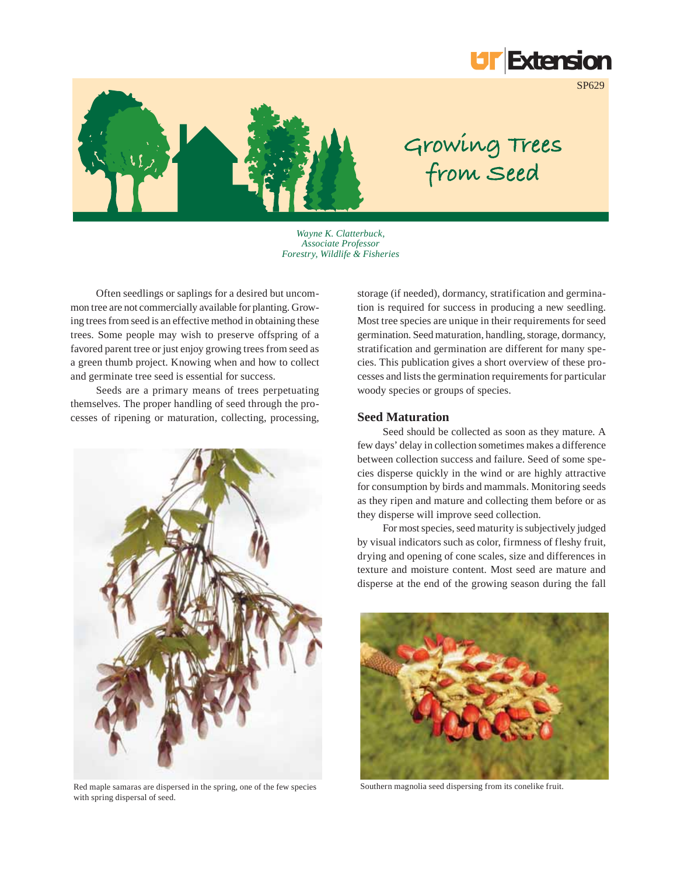

SP629



# Growing Trees from Seed

*Wayne K. Clatterbuck, Associate Professor Forestry, Wildlife & Fisheries*

Often seedlings or saplings for a desired but uncommon tree are not commercially available for planting. Growing trees from seed is an effective method in obtaining these trees. Some people may wish to preserve offspring of a favored parent tree or just enjoy growing trees from seed as a green thumb project. Knowing when and how to collect and germinate tree seed is essential for success.

Seeds are a primary means of trees perpetuating themselves. The proper handling of seed through the processes of ripening or maturation, collecting, processing,



Red maple samaras are dispersed in the spring, one of the few species with spring dispersal of seed.

storage (if needed), dormancy, stratification and germination is required for success in producing a new seedling. Most tree species are unique in their requirements for seed germination. Seed maturation, handling, storage, dormancy, stratification and germination are different for many species. This publication gives a short overview of these processes and lists the germination requirements for particular woody species or groups of species.

# **Seed Maturation**

Seed should be collected as soon as they mature. A few days' delay in collection sometimes makes a difference between collection success and failure. Seed of some species disperse quickly in the wind or are highly attractive for consumption by birds and mammals. Monitoring seeds as they ripen and mature and collecting them before or as they disperse will improve seed collection.

For most species, seed maturity is subjectively judged by visual indicators such as color, firmness of fleshy fruit, drying and opening of cone scales, size and differences in texture and moisture content. Most seed are mature and disperse at the end of the growing season during the fall



Southern magnolia seed dispersing from its conelike fruit.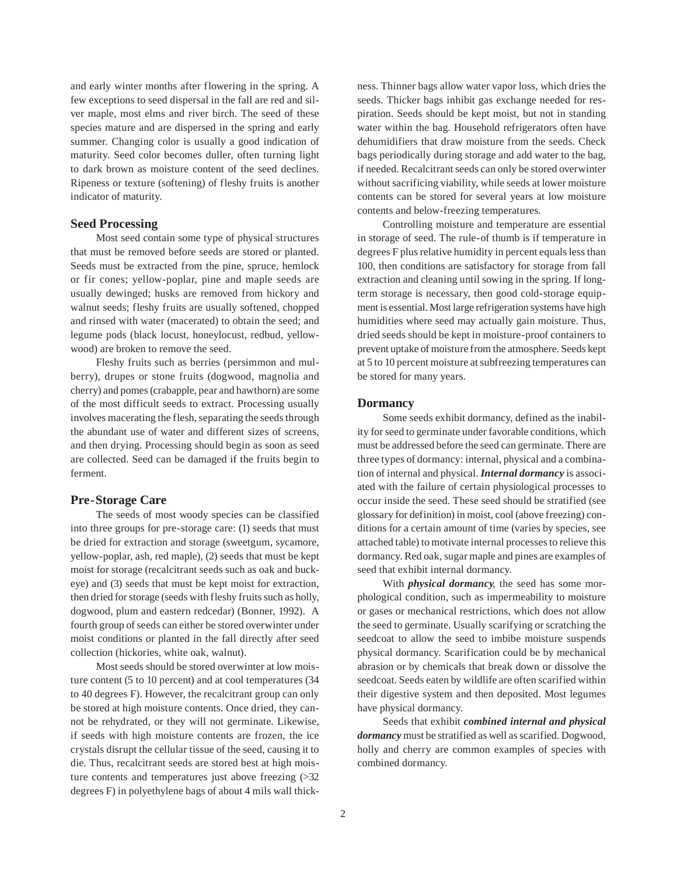and early winter months after flowering in the spring. A few exceptions to seed dispersal in the fall are red and silver maple, most elms and river birch. The seed of these species mature and are dispersed in the spring and early summer. Changing color is usually a good indication of maturity. Seed color becomes duller, often turning light to dark brown as moisture content of the seed declines. Ripeness or texture (softening) of fleshy fruits is another indicator of maturity.

## **Seed Processing**

Most seed contain some type of physical structures that must be removed before seeds are stored or planted. Seeds must be extracted from the pine, spruce, hemlock or fir cones; yellow-poplar, pine and maple seeds are usually dewinged; husks are removed from hickory and walnut seeds; fleshy fruits are usually softened, chopped and rinsed with water (macerated) to obtain the seed; and legume pods (black locust, honeylocust, redbud, yellowwood) are broken to remove the seed.

Fleshy fruits such as berries (persimmon and mulberry), drupes or stone fruits (dogwood, magnolia and cherry) and pomes (crabapple, pear and hawthorn) are some of the most difficult seeds to extract. Processing usually involves macerating the flesh, separating the seeds through the abundant use of water and different sizes of screens, and then drying. Processing should begin as soon as seed are collected. Seed can be damaged if the fruits begin to ferment.

# **Pre-Storage Care**

The seeds of most woody species can be classified into three groups for pre-storage care: (1) seeds that must be dried for extraction and storage (sweetgum, sycamore, yellow-poplar, ash, red maple), (2) seeds that must be kept moist for storage (recalcitrant seeds such as oak and buckeye) and (3) seeds that must be kept moist for extraction, then dried for storage (seeds with fleshy fruits such as holly, dogwood, plum and eastern redcedar) (Bonner, 1992). A fourth group of seeds can either be stored overwinter under moist conditions or planted in the fall directly after seed collection (hickories, white oak, walnut).

Most seeds should be stored overwinter at low moisture content (5 to 10 percent) and at cool temperatures (34 to 40 degrees F). However, the recalcitrant group can only be stored at high moisture contents. Once dried, they cannot be rehydrated, or they will not germinate. Likewise, if seeds with high moisture contents are frozen, the ice crystals disrupt the cellular tissue of the seed, causing it to die. Thus, recalcitrant seeds are stored best at high moisture contents and temperatures just above freezing  $\approx$  32 degrees F) in polyethylene bags of about 4 mils wall thickness. Thinner bags allow water vapor loss, which dries the seeds. Thicker bags inhibit gas exchange needed for respiration. Seeds should be kept moist, but not in standing water within the bag. Household refrigerators often have dehumidifiers that draw moisture from the seeds. Check bags periodically during storage and add water to the bag, if needed. Recalcitrant seeds can only be stored overwinter without sacrificing viability, while seeds at lower moisture contents can be stored for several years at low moisture contents and below-freezing temperatures.

Controlling moisture and temperature are essential in storage of seed. The rule-of thumb is if temperature in degrees F plus relative humidity in percent equals less than 100, then conditions are satisfactory for storage from fall extraction and cleaning until sowing in the spring. If longterm storage is necessary, then good cold-storage equipment is essential. Most large refrigeration systems have high humidities where seed may actually gain moisture. Thus, dried seeds should be kept in moisture-proof containers to prevent uptake of moisture from the atmosphere. Seeds kept at 5 to 10 percent moisture at subfreezing temperatures can be stored for many years.

#### **Dormancy**

Some seeds exhibit dormancy, defined as the inability for seed to germinate under favorable conditions, which must be addressed before the seed can germinate. There are three types of dormancy: internal, physical and a combination of internal and physical. *Internal dormancy* is associated with the failure of certain physiological processes to occur inside the seed. These seed should be stratified (see glossary for definition) in moist, cool (above freezing) conditions for a certain amount of time (varies by species, see attached table) to motivate internal processes to relieve this dormancy. Red oak, sugar maple and pines are examples of seed that exhibit internal dormancy.

With *physical dormancy*, the seed has some morphological condition, such as impermeability to moisture or gases or mechanical restrictions, which does not allow the seed to germinate. Usually scarifying or scratching the seedcoat to allow the seed to imbibe moisture suspends physical dormancy. Scarification could be by mechanical abrasion or by chemicals that break down or dissolve the seedcoat. Seeds eaten by wildlife are often scarified within their digestive system and then deposited. Most legumes have physical dormancy.

Seeds that exhibit *combined internal and physical dormancy* must be stratified as well as scarified. Dogwood, holly and cherry are common examples of species with combined dormancy.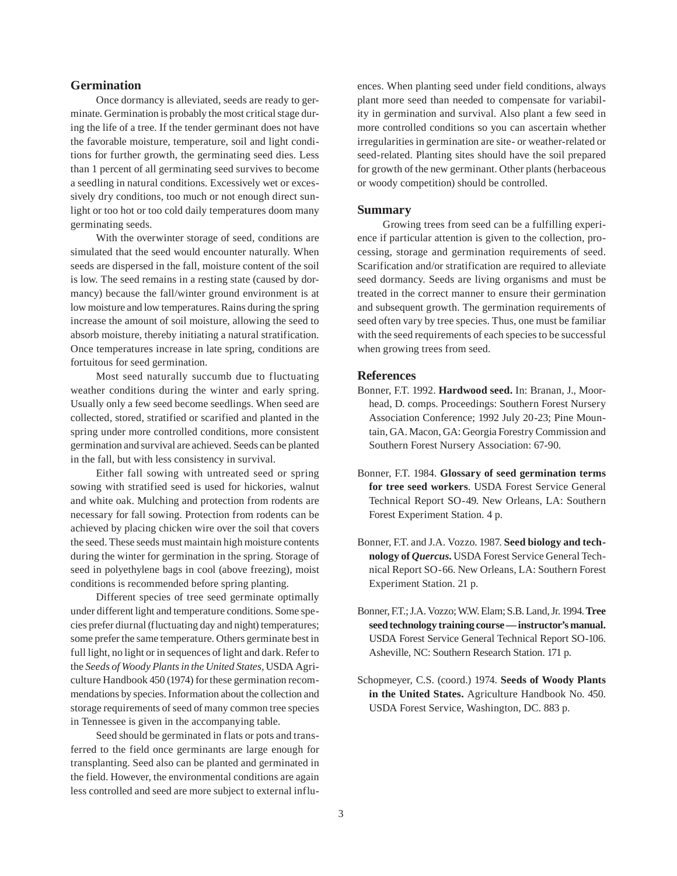# **Germination**

Once dormancy is alleviated, seeds are ready to germinate. Germination is probably the most critical stage during the life of a tree. If the tender germinant does not have the favorable moisture, temperature, soil and light conditions for further growth, the germinating seed dies. Less than 1 percent of all germinating seed survives to become a seedling in natural conditions. Excessively wet or excessively dry conditions, too much or not enough direct sunlight or too hot or too cold daily temperatures doom many germinating seeds.

With the overwinter storage of seed, conditions are simulated that the seed would encounter naturally. When seeds are dispersed in the fall, moisture content of the soil is low. The seed remains in a resting state (caused by dormancy) because the fall/winter ground environment is at low moisture and low temperatures. Rains during the spring increase the amount of soil moisture, allowing the seed to absorb moisture, thereby initiating a natural stratification. Once temperatures increase in late spring, conditions are fortuitous for seed germination.

Most seed naturally succumb due to fluctuating weather conditions during the winter and early spring. Usually only a few seed become seedlings. When seed are collected, stored, stratified or scarified and planted in the spring under more controlled conditions, more consistent germination and survival are achieved. Seeds can be planted in the fall, but with less consistency in survival.

Either fall sowing with untreated seed or spring sowing with stratified seed is used for hickories, walnut and white oak. Mulching and protection from rodents are necessary for fall sowing. Protection from rodents can be achieved by placing chicken wire over the soil that covers the seed. These seeds must maintain high moisture contents during the winter for germination in the spring. Storage of seed in polyethylene bags in cool (above freezing), moist conditions is recommended before spring planting.

Different species of tree seed germinate optimally under different light and temperature conditions. Some species prefer diurnal (fluctuating day and night) temperatures; some prefer the same temperature. Others germinate best in full light, no light or in sequences of light and dark. Refer to the *Seeds of Woody Plants in the United States,* USDA Agriculture Handbook 450 (1974) for these germination recommendations by species. Information about the collection and storage requirements of seed of many common tree species in Tennessee is given in the accompanying table.

Seed should be germinated in flats or pots and transferred to the field once germinants are large enough for transplanting. Seed also can be planted and germinated in the field. However, the environmental conditions are again less controlled and seed are more subject to external influences. When planting seed under field conditions, always plant more seed than needed to compensate for variability in germination and survival. Also plant a few seed in more controlled conditions so you can ascertain whether irregularities in germination are site- or weather-related or seed-related. Planting sites should have the soil prepared for growth of the new germinant. Other plants (herbaceous or woody competition) should be controlled.

#### **Summary**

Growing trees from seed can be a fulfilling experience if particular attention is given to the collection, processing, storage and germination requirements of seed. Scarification and/or stratification are required to alleviate seed dormancy. Seeds are living organisms and must be treated in the correct manner to ensure their germination and subsequent growth. The germination requirements of seed often vary by tree species. Thus, one must be familiar with the seed requirements of each species to be successful when growing trees from seed.

## **References**

- Bonner, F.T. 1992. **Hardwood seed.** In: Branan, J., Moorhead, D. comps. Proceedings: Southern Forest Nursery Association Conference; 1992 July 20-23; Pine Mountain, GA. Macon, GA: Georgia Forestry Commission and Southern Forest Nursery Association: 67-90.
- Bonner, F.T. 1984. **Glossary of seed germination terms for tree seed workers**. USDA Forest Service General Technical Report SO-49. New Orleans, LA: Southern Forest Experiment Station. 4 p.
- Bonner, F.T. and J.A. Vozzo. 1987. **Seed biology and technology of** *Quercus***.** USDA Forest Service General Technical Report SO-66. New Orleans, LA: Southern Forest Experiment Station. 21 p.
- Bonner, F.T.; J.A. Vozzo; W.W. Elam; S.B. Land, Jr. 1994. **Tree seed technology training course — instructor's manual.**  USDA Forest Service General Technical Report SO-106. Asheville, NC: Southern Research Station. 171 p.
- Schopmeyer, C.S. (coord.) 1974. **Seeds of Woody Plants in the United States.** Agriculture Handbook No. 450. USDA Forest Service, Washington, DC. 883 p.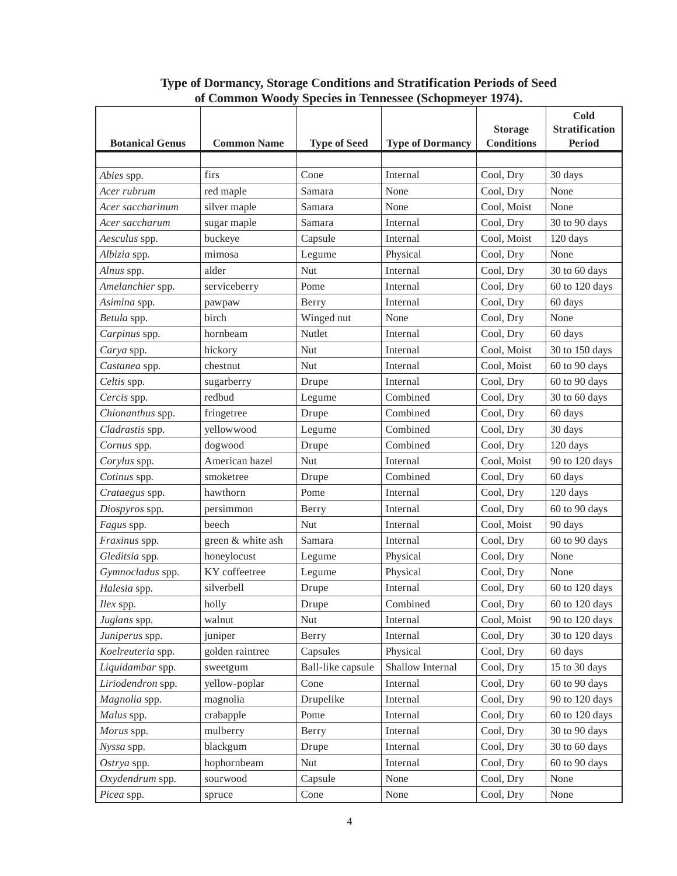| <b>Botanical Genus</b> | <b>Common Name</b> | <b>Type of Seed</b> | <b>Type of Dormancy</b> | <b>Storage</b><br><b>Conditions</b> | Cold<br><b>Stratification</b><br><b>Period</b> |
|------------------------|--------------------|---------------------|-------------------------|-------------------------------------|------------------------------------------------|
|                        |                    |                     |                         |                                     |                                                |
| Abies spp.             | firs               | Cone                | Internal                | Cool, Dry                           | 30 days                                        |
| Acer rubrum            | red maple          | Samara              | None                    | Cool, Dry                           | None                                           |
| Acer saccharinum       | silver maple       | Samara              | None                    | Cool, Moist                         | None                                           |
| Acer saccharum         | sugar maple        | Samara              | Internal                | Cool, Dry                           | 30 to 90 days                                  |
| Aesculus spp.          | buckeye            | Capsule             | Internal                | Cool, Moist                         | 120 days                                       |
| Albizia spp.           | mimosa             | Legume              | Physical                | Cool, Dry                           | None                                           |
| Alnus spp.             | alder              | Nut                 | Internal                | Cool, Dry                           | 30 to 60 days                                  |
| Amelanchier spp.       | serviceberry       | Pome                | Internal                | Cool, Dry                           | 60 to 120 days                                 |
| Asimina spp.           | pawpaw             | Berry               | Internal                | Cool, Dry                           | 60 days                                        |
| Betula spp.            | birch              | Winged nut          | None                    | Cool, Dry                           | None                                           |
| Carpinus spp.          | hornbeam           | Nutlet              | Internal                | Cool, Dry                           | 60 days                                        |
| Carya spp.             | hickory            | Nut                 | Internal                | Cool, Moist                         | 30 to 150 days                                 |
| Castanea spp.          | chestnut           | Nut                 | Internal                | Cool, Moist                         | 60 to 90 days                                  |
| Celtis spp.            | sugarberry         | Drupe               | Internal                | Cool, Dry                           | 60 to 90 days                                  |
| Cercis spp.            | redbud             | Legume              | Combined                | Cool, Dry                           | 30 to 60 days                                  |
| Chionanthus spp.       | fringetree         | Drupe               | Combined                | Cool, Dry                           | 60 days                                        |
| Cladrastis spp.        | yellowwood         | Legume              | Combined                | Cool, Dry                           | 30 days                                        |
| Cornus spp.            | dogwood            | Drupe               | Combined                | Cool, Dry                           | 120 days                                       |
| Corylus spp.           | American hazel     | Nut                 | Internal                | Cool, Moist                         | 90 to 120 days                                 |
| Cotinus spp.           | smoketree          | Drupe               | Combined                | Cool, Dry                           | 60 days                                        |
| Crataegus spp.         | hawthorn           | Pome                | Internal                | Cool, Dry                           | 120 days                                       |
| Diospyros spp.         | persimmon          | Berry               | Internal                | Cool, Dry                           | 60 to 90 days                                  |
| Fagus spp.             | beech              | Nut                 | Internal                | Cool, Moist                         | 90 days                                        |
| Fraxinus spp.          | green & white ash  | Samara              | Internal                | Cool, Dry                           | 60 to 90 days                                  |
| Gleditsia spp.         | honeylocust        | Legume              | Physical                | Cool, Dry                           | None                                           |
| Gymnocladus spp.       | KY coffeetree      | Legume              | Physical                | Cool, Dry                           | None                                           |
| Halesia spp.           | silverbell         | Drupe               | Internal                | Cool, Dry                           | 60 to 120 days                                 |
| <i>Hex</i> spp.        | holly              | Drupe               | Combined                | Cool, Dry                           | $60$ to 120 days                               |
| Juglans spp.           | walnut             | Nut                 | Internal                | Cool, Moist                         | 90 to 120 days                                 |
| Juniperus spp.         | juniper            | Berry               | Internal                | Cool, Dry                           | 30 to 120 days                                 |
| Koelreuteria spp.      | golden raintree    | Capsules            | Physical                | Cool, Dry                           | 60 days                                        |
| Liquidambar spp.       | sweetgum           | Ball-like capsule   | Shallow Internal        | Cool, Dry                           | 15 to 30 days                                  |
| Liriodendron spp.      | yellow-poplar      | Cone                | Internal                | Cool, Dry                           | 60 to 90 days                                  |
| Magnolia spp.          | magnolia           | Drupelike           | Internal                | Cool, Dry                           | 90 to 120 days                                 |
| Malus spp.             | crabapple          | Pome                | Internal                | Cool, Dry                           | 60 to 120 days                                 |
| Morus spp.             | mulberry           | Berry               | Internal                | Cool, Dry                           | 30 to 90 days                                  |
| Nyssa spp.             | blackgum           | Drupe               | Internal                | Cool, Dry                           | 30 to 60 days                                  |
| Ostrya spp.            | hophornbeam        | Nut                 | Internal                | Cool, Dry                           | 60 to 90 days                                  |
| Oxydendrum spp.        | sourwood           | Capsule             | None                    | Cool, Dry                           | None                                           |
| Picea spp.             | spruce             | Cone                | None                    | Cool, Dry                           | None                                           |

# **Type of Dormancy, Storage Conditions and Stratification Periods of Seed of Common Woody Species in Tennessee (Schopmeyer 1974).**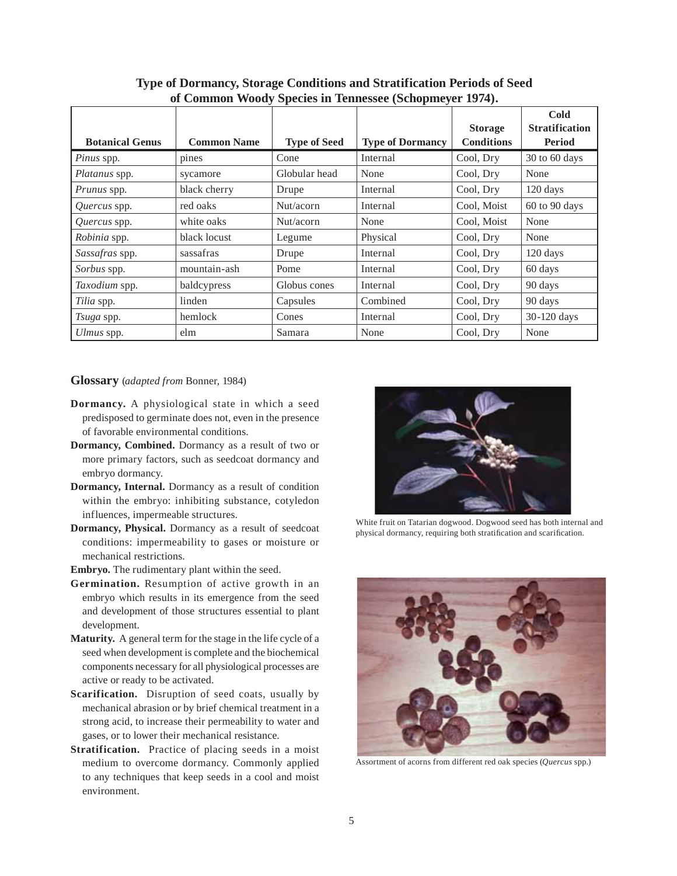| <b>Botanical Genus</b> | <b>Common Name</b> | <b>Type of Seed</b> | <b>Type of Dormancy</b> | <b>Storage</b><br><b>Conditions</b> | Cold<br><b>Stratification</b><br>Period |
|------------------------|--------------------|---------------------|-------------------------|-------------------------------------|-----------------------------------------|
| Pinus spp.             | pines              | Cone                | Internal                | Cool, Dry                           | 30 to 60 days                           |
| Platanus spp.          | sycamore           | Globular head       | None                    | Cool, Dry                           | None                                    |
| <i>Prunus</i> spp.     | black cherry       | Drupe               | Internal                | Cool, Dry                           | 120 days                                |
| Quercus spp.           | red oaks           | Nut/acorn           | Internal                | Cool, Moist                         | 60 to 90 days                           |
| Quercus spp.           | white oaks         | Nut/acorn           | None                    | Cool, Moist                         | None                                    |
| Robinia spp.           | black locust       | Legume              | Physical                | Cool, Dry                           | None                                    |
| Sassafras spp.         | sassafras          | Drupe               | Internal                | Cool, Dry                           | $120 \text{ days}$                      |
| Sorbus spp.            | mountain-ash       | Pome                | Internal                | Cool, Dry                           | 60 days                                 |
| Taxodium spp.          | baldcypress        | Globus cones        | Internal                | Cool, Dry                           | 90 days                                 |
| Tilia spp.             | linden             | Capsules            | Combined                | Cool, Dry                           | 90 days                                 |
| Tsuga spp.             | hemlock            | Cones               | Internal                | Cool, Dry                           | 30-120 days                             |
| Ulmus spp.             | elm                | Samara              | None                    | Cool, Dry                           | None                                    |

**Type of Dormancy, Storage Conditions and Stratification Periods of Seed of Common Woody Species in Tennessee (Schopmeyer 1974).**

#### **Glossary** (*adapted from* Bonner, 1984)

- **Dormancy.** A physiological state in which a seed predisposed to germinate does not, even in the presence of favorable environmental conditions.
- **Dormancy, Combined.** Dormancy as a result of two or more primary factors, such as seedcoat dormancy and embryo dormancy.
- **Dormancy, Internal.** Dormancy as a result of condition within the embryo: inhibiting substance, cotyledon influences, impermeable structures.
- **Dormancy, Physical.** Dormancy as a result of seedcoat conditions: impermeability to gases or moisture or mechanical restrictions.
- **Embryo.** The rudimentary plant within the seed.
- **Germination.** Resumption of active growth in an embryo which results in its emergence from the seed and development of those structures essential to plant development.
- **Maturity.** A general term for the stage in the life cycle of a seed when development is complete and the biochemical components necessary for all physiological processes are active or ready to be activated.
- **Scarification.** Disruption of seed coats, usually by mechanical abrasion or by brief chemical treatment in a strong acid, to increase their permeability to water and gases, or to lower their mechanical resistance.
- **Stratification.** Practice of placing seeds in a moist medium to overcome dormancy. Commonly applied to any techniques that keep seeds in a cool and moist environment.



White fruit on Tatarian dogwood. Dogwood seed has both internal and physical dormancy, requiring both stratification and scarification.



Assortment of acorns from different red oak species (*Quercus* spp.)